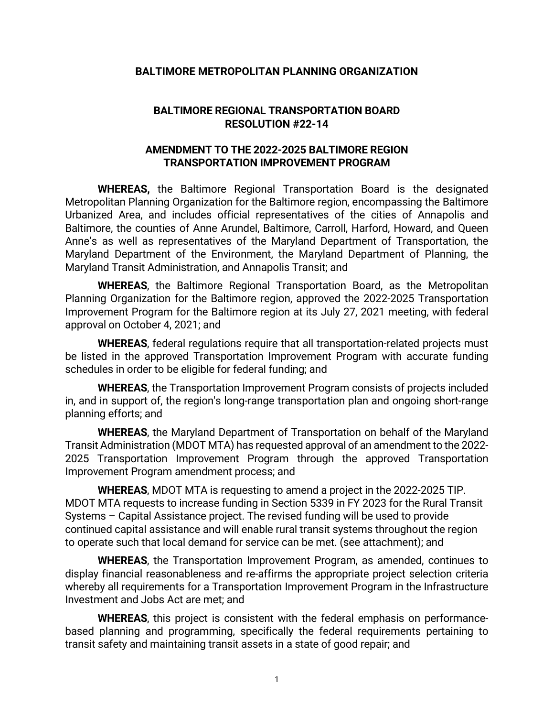## **BALTIMORE METROPOLITAN PLANNING ORGANIZATION**

## **BALTIMORE REGIONAL TRANSPORTATION BOARD RESOLUTION #22-14**

## **AMENDMENT TO THE 2022-2025 BALTIMORE REGION TRANSPORTATION IMPROVEMENT PROGRAM**

**WHEREAS,** the Baltimore Regional Transportation Board is the designated Metropolitan Planning Organization for the Baltimore region, encompassing the Baltimore Urbanized Area, and includes official representatives of the cities of Annapolis and Baltimore, the counties of Anne Arundel, Baltimore, Carroll, Harford, Howard, and Queen Anne's as well as representatives of the Maryland Department of Transportation, the Maryland Department of the Environment, the Maryland Department of Planning, the Maryland Transit Administration, and Annapolis Transit; and

**WHEREAS**, the Baltimore Regional Transportation Board, as the Metropolitan Planning Organization for the Baltimore region, approved the 2022-2025 Transportation Improvement Program for the Baltimore region at its July 27, 2021 meeting, with federal approval on October 4, 2021; and

**WHEREAS**, federal regulations require that all transportation-related projects must be listed in the approved Transportation Improvement Program with accurate funding schedules in order to be eligible for federal funding; and

**WHEREAS**, the Transportation Improvement Program consists of projects included in, and in support of, the region's long-range transportation plan and ongoing short-range planning efforts; and

**WHEREAS**, the Maryland Department of Transportation on behalf of the Maryland Transit Administration (MDOT MTA) has requested approval of an amendment to the 2022- 2025 Transportation Improvement Program through the approved Transportation Improvement Program amendment process; and

**WHEREAS**, MDOT MTA is requesting to amend a project in the 2022-2025 TIP. MDOT MTA requests to increase funding in Section 5339 in FY 2023 for the Rural Transit Systems – Capital Assistance project. The revised funding will be used to provide continued capital assistance and will enable rural transit systems throughout the region to operate such that local demand for service can be met. (see attachment); and

**WHEREAS**, the Transportation Improvement Program, as amended, continues to display financial reasonableness and re-affirms the appropriate project selection criteria whereby all requirements for a Transportation Improvement Program in the Infrastructure Investment and Jobs Act are met; and

**WHEREAS**, this project is consistent with the federal emphasis on performancebased planning and programming, specifically the federal requirements pertaining to transit safety and maintaining transit assets in a state of good repair; and